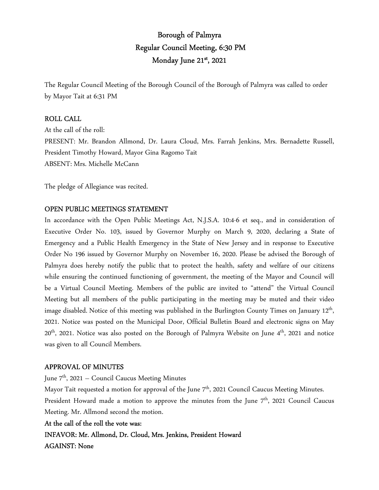# Borough of Palmyra Regular Council Meeting, 6:30 PM Monday June 21st , 2021

The Regular Council Meeting of the Borough Council of the Borough of Palmyra was called to order by Mayor Tait at 6:31 PM

### ROLL CALL

At the call of the roll: PRESENT: Mr. Brandon Allmond, Dr. Laura Cloud, Mrs. Farrah Jenkins, Mrs. Bernadette Russell, President Timothy Howard, Mayor Gina Ragomo Tait ABSENT: Mrs. Michelle McCann

The pledge of Allegiance was recited.

#### OPEN PUBLIC MEETINGS STATEMENT

In accordance with the Open Public Meetings Act, N.J.S.A. 10:4-6 et seq., and in consideration of Executive Order No. 103, issued by Governor Murphy on March 9, 2020, declaring a State of Emergency and a Public Health Emergency in the State of New Jersey and in response to Executive Order No 196 issued by Governor Murphy on November 16, 2020. Please be advised the Borough of Palmyra does hereby notify the public that to protect the health, safety and welfare of our citizens while ensuring the continued functioning of government, the meeting of the Mayor and Council will be a Virtual Council Meeting. Members of the public are invited to "attend" the Virtual Council Meeting but all members of the public participating in the meeting may be muted and their video image disabled. Notice of this meeting was published in the Burlington County Times on January 12<sup>th</sup>, 2021. Notice was posted on the Municipal Door, Official Bulletin Board and electronic signs on May 20<sup>th</sup>, 2021. Notice was also posted on the Borough of Palmyra Website on June 4<sup>th</sup>, 2021 and notice was given to all Council Members.

#### APPROVAL OF MINUTES

June 7<sup>th</sup>, 2021 – Council Caucus Meeting Minutes

Mayor Tait requested a motion for approval of the June  $7<sup>th</sup>$ , 2021 Council Caucus Meeting Minutes. President Howard made a motion to approve the minutes from the June 7<sup>th</sup>, 2021 Council Caucus Meeting. Mr. Allmond second the motion.

#### At the call of the roll the vote was:

INFAVOR: Mr. Allmond, Dr. Cloud, Mrs. Jenkins, President Howard AGAINST: None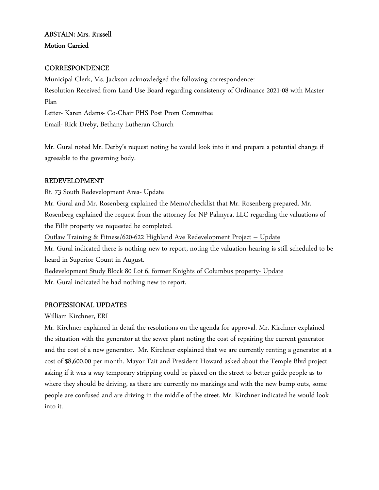# ABSTAIN: Mrs. Russell Motion Carried

# **CORRESPONDENCE**

Municipal Clerk, Ms. Jackson acknowledged the following correspondence: Resolution Received from Land Use Board regarding consistency of Ordinance 2021-08 with Master Plan Letter- Karen Adams- Co-Chair PHS Post Prom Committee Email- Rick Dreby, Bethany Lutheran Church

Mr. Gural noted Mr. Derby's request noting he would look into it and prepare a potential change if agreeable to the governing body.

# REDEVELOPMENT

Rt. 73 South Redevelopment Area- Update

Mr. Gural and Mr. Rosenberg explained the Memo/checklist that Mr. Rosenberg prepared. Mr. Rosenberg explained the request from the attorney for NP Palmyra, LLC regarding the valuations of the Fillit property we requested be completed.

Outlaw Training & Fitness/620-622 Highland Ave Redevelopment Project – Update

Mr. Gural indicated there is nothing new to report, noting the valuation hearing is still scheduled to be heard in Superior Count in August.

Redevelopment Study Block 80 Lot 6, former Knights of Columbus property- Update Mr. Gural indicated he had nothing new to report.

# PROFESSIONAL UPDATES

William Kirchner, ERI

Mr. Kirchner explained in detail the resolutions on the agenda for approval. Mr. Kirchner explained the situation with the generator at the sewer plant noting the cost of repairing the current generator and the cost of a new generator. Mr. Kirchner explained that we are currently renting a generator at a cost of \$8,600.00 per month. Mayor Tait and President Howard asked about the Temple Blvd project asking if it was a way temporary stripping could be placed on the street to better guide people as to where they should be driving, as there are currently no markings and with the new bump outs, some people are confused and are driving in the middle of the street. Mr. Kirchner indicated he would look into it.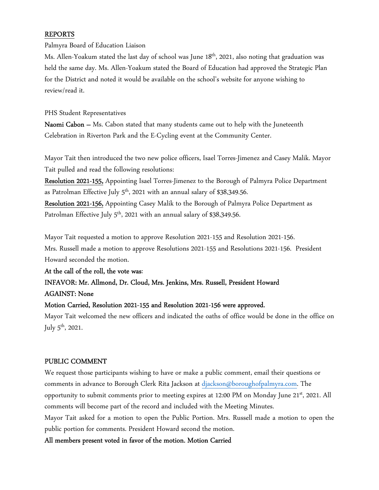## REPORTS

Palmyra Board of Education Liaison

Ms. Allen-Yoakum stated the last day of school was June 18<sup>th</sup>, 2021, also noting that graduation was held the same day. Ms. Allen-Yoakum stated the Board of Education had approved the Strategic Plan for the District and noted it would be available on the school's website for anyone wishing to review/read it.

PHS Student Representatives

Naomi Cabon – Ms. Cabon stated that many students came out to help with the Juneteenth Celebration in Riverton Park and the E-Cycling event at the Community Center.

Mayor Tait then introduced the two new police officers, Isael Torres-Jimenez and Casey Malik. Mayor Tait pulled and read the following resolutions:

Resolution 2021-155, Appointing Isael Torres-Jimenez to the Borough of Palmyra Police Department as Patrolman Effective July  $5<sup>th</sup>$ , 2021 with an annual salary of \$38,349.56.

Resolution 2021-156, Appointing Casey Malik to the Borough of Palmyra Police Department as Patrolman Effective July 5<sup>th</sup>, 2021 with an annual salary of \$38,349.56.

Mayor Tait requested a motion to approve Resolution 2021-155 and Resolution 2021-156. Mrs. Russell made a motion to approve Resolutions 2021-155 and Resolutions 2021-156. President Howard seconded the motion.

At the call of the roll, the vote was:

# INFAVOR: Mr. Allmond, Dr. Cloud, Mrs. Jenkins, Mrs. Russell, President Howard AGAINST: None

# Motion Carried, Resolution 2021-155 and Resolution 2021-156 were approved.

Mayor Tait welcomed the new officers and indicated the oaths of office would be done in the office on July  $5^{\text{th}}$ , 2021.

# PUBLIC COMMENT

We request those participants wishing to have or make a public comment, email their questions or comments in advance to Borough Clerk Rita Jackson at djackson@boroughofpalmyra.com. The opportunity to submit comments prior to meeting expires at 12:00 PM on Monday June 21<sup>st</sup>, 2021. All comments will become part of the record and included with the Meeting Minutes.

Mayor Tait asked for a motion to open the Public Portion. Mrs. Russell made a motion to open the public portion for comments. President Howard second the motion.

All members present voted in favor of the motion. Motion Carried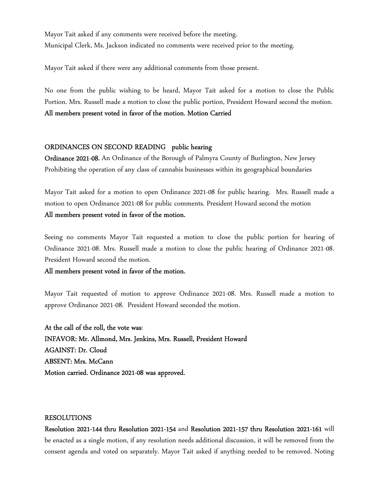Mayor Tait asked if any comments were received before the meeting. Municipal Clerk, Ms. Jackson indicated no comments were received prior to the meeting.

Mayor Tait asked if there were any additional comments from those present.

No one from the public wishing to be heard, Mayor Tait asked for a motion to close the Public Portion. Mrs. Russell made a motion to close the public portion, President Howard second the motion. All members present voted in favor of the motion. Motion Carried

#### ORDINANCES ON SECOND READING public hearing

Ordinance 2021-08, An Ordinance of the Borough of Palmyra County of Burlington, New Jersey Prohibiting the operation of any class of cannabis businesses within its geographical boundaries

Mayor Tait asked for a motion to open Ordinance 2021-08 for public hearing. Mrs. Russell made a motion to open Ordinance 2021-08 for public comments. President Howard second the motion All members present voted in favor of the motion.

Seeing no comments Mayor Tait requested a motion to close the public portion for hearing of Ordinance 2021-08. Mrs. Russell made a motion to close the public hearing of Ordinance 2021-08. President Howard second the motion.

#### All members present voted in favor of the motion.

Mayor Tait requested of motion to approve Ordinance 2021-08. Mrs. Russell made a motion to approve Ordinance 2021-08. President Howard seconded the motion.

At the call of the roll, the vote was: INFAVOR: Mr. Allmond, Mrs. Jenkins, Mrs. Russell, President Howard AGAINST: Dr. Cloud ABSENT: Mrs. McCann Motion carried. Ordinance 2021-08 was approved.

#### RESOLUTIONS

Resolution 2021-144 thru Resolution 2021-154 and Resolution 2021-157 thru Resolution 2021-161 will be enacted as a single motion, if any resolution needs additional discussion, it will be removed from the consent agenda and voted on separately. Mayor Tait asked if anything needed to be removed. Noting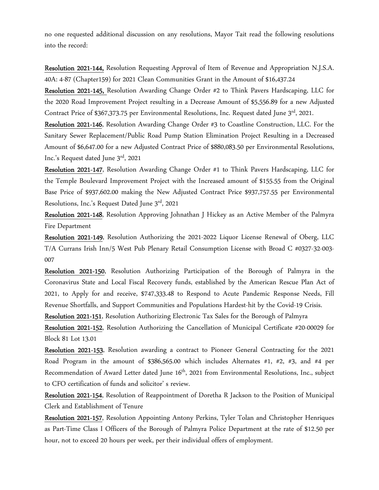no one requested additional discussion on any resolutions, Mayor Tait read the following resolutions into the record:

Resolution 2021-144, Resolution Requesting Approval of Item of Revenue and Appropriation N.J.S.A. 40A: 4-87 (Chapter159) for 2021 Clean Communities Grant in the Amount of \$16,437.24

Resolution 2021-145, Resolution Awarding Change Order #2 to Think Pavers Hardscaping, LLC for the 2020 Road Improvement Project resulting in a Decrease Amount of \$5,556.89 for a new Adjusted Contract Price of \$367,373.75 per Environmental Resolutions, Inc. Request dated June  $3^{rd}$ , 2021.

Resolution 2021-146, Resolution Awarding Change Order #3 to Coastline Construction, LLC. For the Sanitary Sewer Replacement/Public Road Pump Station Elimination Project Resulting in a Decreased Amount of \$6,647.00 for a new Adjusted Contract Price of \$880,083.50 per Environmental Resolutions, Inc.'s Request dated June 3rd, 2021

Resolution 2021-147, Resolution Awarding Change Order #1 to Think Pavers Hardscaping, LLC for the Temple Boulevard Improvement Project with the Increased amount of \$155.55 from the Original Base Price of \$937,602.00 making the New Adjusted Contract Price \$937,757.55 per Environmental Resolutions, Inc.'s Request Dated June  $3<sup>rd</sup>$ , 2021

Resolution 2021-148, Resolution Approving Johnathan J Hickey as an Active Member of the Palmyra Fire Department

Resolution 2021-149, Resolution Authorizing the 2021-2022 Liquor License Renewal of Oberg, LLC T/A Currans Irish Inn/5 West Pub Plenary Retail Consumption License with Broad C #0327-32-003- 007

Resolution 2021-150, Resolution Authorizing Participation of the Borough of Palmyra in the Coronavirus State and Local Fiscal Recovery funds, established by the American Rescue Plan Act of 2021, to Apply for and receive, \$747,333.48 to Respond to Acute Pandemic Response Needs, Fill Revenue Shortfalls, and Support Communities and Populations Hardest-hit by the Covid-19 Crisis.

Resolution 2021-151, Resolution Authorizing Electronic Tax Sales for the Borough of Palmyra

Resolution 2021-152, Resolution Authorizing the Cancellation of Municipal Certificate #20-00029 for Block 81 Lot 13.01

Resolution 2021-153, Resolution awarding a contract to Pioneer General Contracting for the 2021 Road Program in the amount of \$386,565.00 which includes Alternates #1, #2, #3, and #4 per Recommendation of Award Letter dated June 16<sup>th</sup>, 2021 from Environmental Resolutions, Inc., subject to CFO certification of funds and solicitor' s review.

Resolution 2021-154, Resolution of Reappointment of Doretha R Jackson to the Position of Municipal Clerk and Establishment of Tenure

Resolution 2021-157, Resolution Appointing Antony Perkins, Tyler Tolan and Christopher Henriques as Part-Time Class I Officers of the Borough of Palmyra Police Department at the rate of \$12.50 per hour, not to exceed 20 hours per week, per their individual offers of employment.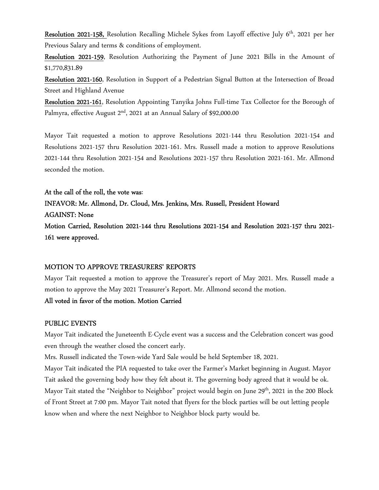Resolution 2021-158, Resolution Recalling Michele Sykes from Layoff effective July 6<sup>th</sup>, 2021 per her Previous Salary and terms & conditions of employment.

Resolution 2021-159, Resolution Authorizing the Payment of June 2021 Bills in the Amount of \$1,770,831.89

Resolution 2021-160, Resolution in Support of a Pedestrian Signal Button at the Intersection of Broad Street and Highland Avenue

Resolution 2021-161, Resolution Appointing Tanyika Johns Full-time Tax Collector for the Borough of Palmyra, effective August 2<sup>nd</sup>, 2021 at an Annual Salary of \$92,000.00

Mayor Tait requested a motion to approve Resolutions 2021-144 thru Resolution 2021-154 and Resolutions 2021-157 thru Resolution 2021-161. Mrs. Russell made a motion to approve Resolutions 2021-144 thru Resolution 2021-154 and Resolutions 2021-157 thru Resolution 2021-161. Mr. Allmond seconded the motion.

At the call of the roll, the vote was: INFAVOR: Mr. Allmond, Dr. Cloud, Mrs. Jenkins, Mrs. Russell, President Howard AGAINST: None Motion Carried, Resolution 2021-144 thru Resolutions 2021-154 and Resolution 2021-157 thru 2021- 161 were approved.

### MOTION TO APPROVE TREASURERS' REPORTS

Mayor Tait requested a motion to approve the Treasurer's report of May 2021. Mrs. Russell made a motion to approve the May 2021 Treasurer's Report. Mr. Allmond second the motion.

### All voted in favor of the motion. Motion Carried

#### PUBLIC EVENTS

Mayor Tait indicated the Juneteenth E-Cycle event was a success and the Celebration concert was good even through the weather closed the concert early.

Mrs. Russell indicated the Town-wide Yard Sale would be held September 18, 2021.

Mayor Tait indicated the PIA requested to take over the Farmer's Market beginning in August. Mayor Tait asked the governing body how they felt about it. The governing body agreed that it would be ok. Mayor Tait stated the "Neighbor to Neighbor" project would begin on June 29<sup>th</sup>, 2021 in the 200 Block of Front Street at 7:00 pm. Mayor Tait noted that flyers for the block parties will be out letting people know when and where the next Neighbor to Neighbor block party would be.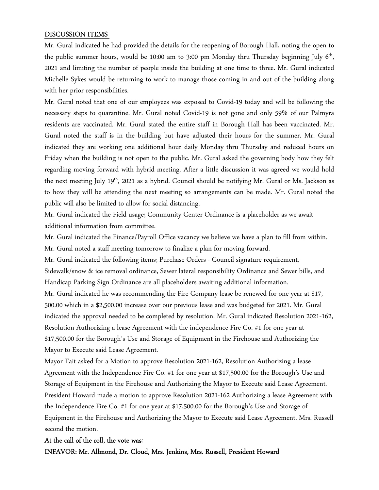#### DISCUSSION ITEMS

Mr. Gural indicated he had provided the details for the reopening of Borough Hall, noting the open to the public summer hours, would be 10:00 am to 3:00 pm Monday thru Thursday beginning July 6<sup>th</sup>, 2021 and limiting the number of people inside the building at one time to three. Mr. Gural indicated Michelle Sykes would be returning to work to manage those coming in and out of the building along with her prior responsibilities.

Mr. Gural noted that one of our employees was exposed to Covid-19 today and will be following the necessary steps to quarantine. Mr. Gural noted Covid-19 is not gone and only 59% of our Palmyra residents are vaccinated. Mr. Gural stated the entire staff in Borough Hall has been vaccinated. Mr. Gural noted the staff is in the building but have adjusted their hours for the summer. Mr. Gural indicated they are working one additional hour daily Monday thru Thursday and reduced hours on Friday when the building is not open to the public. Mr. Gural asked the governing body how they felt regarding moving forward with hybrid meeting. After a little discussion it was agreed we would hold the next meeting July 19<sup>th</sup>, 2021 as a hybrid. Council should be notifying Mr. Gural or Ms. Jackson as to how they will be attending the next meeting so arrangements can be made. Mr. Gural noted the public will also be limited to allow for social distancing.

Mr. Gural indicated the Field usage; Community Center Ordinance is a placeholder as we await additional information from committee.

Mr. Gural indicated the Finance/Payroll Office vacancy we believe we have a plan to fill from within. Mr. Gural noted a staff meeting tomorrow to finalize a plan for moving forward.

Mr. Gural indicated the following items; Purchase Orders - Council signature requirement,

Sidewalk/snow & ice removal ordinance, Sewer lateral responsibility Ordinance and Sewer bills, and Handicap Parking Sign Ordinance are all placeholders awaiting additional information.

Mr. Gural indicated he was recommending the Fire Company lease be renewed for one-year at \$17, 500.00 which in a \$2,500.00 increase over our previous lease and was budgeted for 2021. Mr. Gural indicated the approval needed to be completed by resolution. Mr. Gural indicated Resolution 2021-162, Resolution Authorizing a lease Agreement with the independence Fire Co. #1 for one year at \$17,500.00 for the Borough's Use and Storage of Equipment in the Firehouse and Authorizing the Mayor to Execute said Lease Agreement.

Mayor Tait asked for a Motion to approve Resolution 2021-162, Resolution Authorizing a lease Agreement with the Independence Fire Co. #1 for one year at \$17,500.00 for the Borough's Use and Storage of Equipment in the Firehouse and Authorizing the Mayor to Execute said Lease Agreement. President Howard made a motion to approve Resolution 2021-162 Authorizing a lease Agreement with the Independence Fire Co. #1 for one year at \$17,500.00 for the Borough's Use and Storage of Equipment in the Firehouse and Authorizing the Mayor to Execute said Lease Agreement. Mrs. Russell second the motion.

### At the call of the roll, the vote was:

INFAVOR: Mr. Allmond, Dr. Cloud, Mrs. Jenkins, Mrs. Russell, President Howard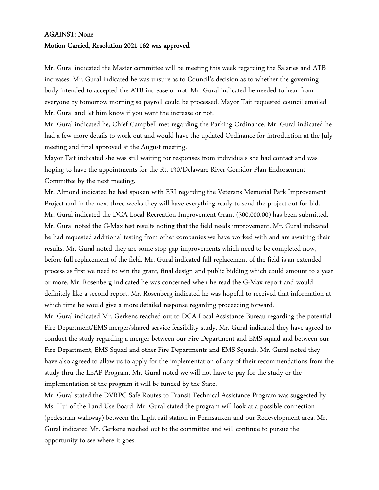#### AGAINST: None

#### Motion Carried, Resolution 2021-162 was approved.

Mr. Gural indicated the Master committee will be meeting this week regarding the Salaries and ATB increases. Mr. Gural indicated he was unsure as to Council's decision as to whether the governing body intended to accepted the ATB increase or not. Mr. Gural indicated he needed to hear from everyone by tomorrow morning so payroll could be processed. Mayor Tait requested council emailed Mr. Gural and let him know if you want the increase or not.

Mr. Gural indicated he, Chief Campbell met regarding the Parking Ordinance. Mr. Gural indicated he had a few more details to work out and would have the updated Ordinance for introduction at the July meeting and final approved at the August meeting.

Mayor Tait indicated she was still waiting for responses from individuals she had contact and was hoping to have the appointments for the Rt. 130/Delaware River Corridor Plan Endorsement Committee by the next meeting.

Mr. Almond indicated he had spoken with ERI regarding the Veterans Memorial Park Improvement Project and in the next three weeks they will have everything ready to send the project out for bid. Mr. Gural indicated the DCA Local Recreation Improvement Grant (300,000.00) has been submitted. Mr. Gural noted the G-Max test results noting that the field needs improvement. Mr. Gural indicated he had requested additional testing from other companies we have worked with and are awaiting their results. Mr. Gural noted they are some stop gap improvements which need to be completed now, before full replacement of the field. Mr. Gural indicated full replacement of the field is an extended process as first we need to win the grant, final design and public bidding which could amount to a year or more. Mr. Rosenberg indicated he was concerned when he read the G-Max report and would definitely like a second report. Mr. Rosenberg indicated he was hopeful to received that information at which time he would give a more detailed response regarding proceeding forward.

Mr. Gural indicated Mr. Gerkens reached out to DCA Local Assistance Bureau regarding the potential Fire Department/EMS merger/shared service feasibility study. Mr. Gural indicated they have agreed to conduct the study regarding a merger between our Fire Department and EMS squad and between our Fire Department, EMS Squad and other Fire Departments and EMS Squads. Mr. Gural noted they have also agreed to allow us to apply for the implementation of any of their recommendations from the study thru the LEAP Program. Mr. Gural noted we will not have to pay for the study or the implementation of the program it will be funded by the State.

Mr. Gural stated the DVRPC Safe Routes to Transit Technical Assistance Program was suggested by Ms. Hui of the Land Use Board. Mr. Gural stated the program will look at a possible connection (pedestrian walkway) between the Light rail station in Pennsauken and our Redevelopment area. Mr. Gural indicated Mr. Gerkens reached out to the committee and will continue to pursue the opportunity to see where it goes.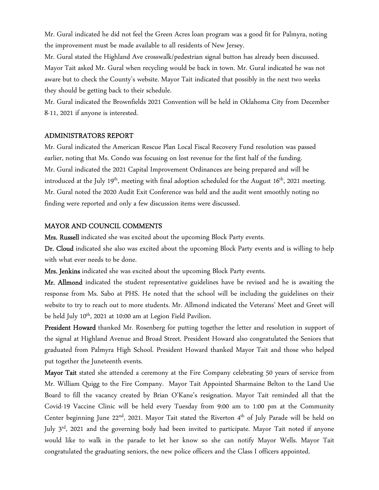Mr. Gural indicated he did not feel the Green Acres loan program was a good fit for Palmyra, noting the improvement must be made available to all residents of New Jersey.

Mr. Gural stated the Highland Ave crosswalk/pedestrian signal button has already been discussed. Mayor Tait asked Mr. Gural when recycling would be back in town. Mr. Gural indicated he was not aware but to check the County's website. Mayor Tait indicated that possibly in the next two weeks they should be getting back to their schedule.

Mr. Gural indicated the Brownfields 2021 Convention will be held in Oklahoma City from December 8-11, 2021 if anyone is interested.

#### ADMINISTRATORS REPORT

Mr. Gural indicated the American Rescue Plan Local Fiscal Recovery Fund resolution was passed earlier, noting that Ms. Condo was focusing on lost revenue for the first half of the funding. Mr. Gural indicated the 2021 Capital Improvement Ordinances are being prepared and will be introduced at the July 19<sup>th</sup>, meeting with final adoption scheduled for the August  $16<sup>th</sup>$ , 2021 meeting. Mr. Gural noted the 2020 Audit Exit Conference was held and the audit went smoothly noting no finding were reported and only a few discussion items were discussed.

#### MAYOR AND COUNCIL COMMENTS

Mrs. Russell indicated she was excited about the upcoming Block Party events.

Dr. Cloud indicated she also was excited about the upcoming Block Party events and is willing to help with what ever needs to be done.

Mrs. Jenkins indicated she was excited about the upcoming Block Party events.

Mr. Allmond indicated the student representative guidelines have be revised and he is awaiting the response from Ms. Sabo at PHS. He noted that the school will be including the guidelines on their website to try to reach out to more students. Mr. Allmond indicated the Veterans' Meet and Greet will be held July 10<sup>th</sup>, 2021 at 10:00 am at Legion Field Pavilion.

President Howard thanked Mr. Rosenberg for putting together the letter and resolution in support of the signal at Highland Avenue and Broad Street. President Howard also congratulated the Seniors that graduated from Palmyra High School. President Howard thanked Mayor Tait and those who helped put together the Juneteenth events.

**Mayor Tait** stated she attended a ceremony at the Fire Company celebrating 50 years of service from Mr. William Quigg to the Fire Company. Mayor Tait Appointed Sharmaine Belton to the Land Use Board to fill the vacancy created by Brian O'Kane's resignation. Mayor Tait reminded all that the Covid-19 Vaccine Clinic will be held every Tuesday from 9:00 am to 1:00 pm at the Community Center beginning June 22<sup>nd</sup>, 2021. Mayor Tait stated the Riverton 4<sup>th</sup> of July Parade will be held on July  $3<sup>rd</sup>$ , 2021 and the governing body had been invited to participate. Mayor Tait noted if anyone would like to walk in the parade to let her know so she can notify Mayor Wells. Mayor Tait congratulated the graduating seniors, the new police officers and the Class I officers appointed.